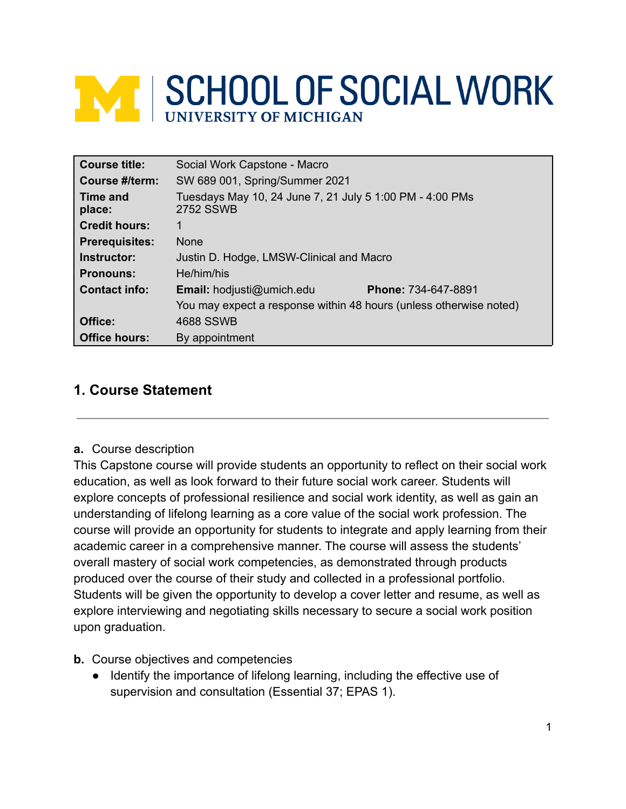# **WE SCHOOL OF SOCIAL WORK**

| <b>Course title:</b>  | Social Work Capstone - Macro                                                 |  |  |
|-----------------------|------------------------------------------------------------------------------|--|--|
| Course #/term:        | SW 689 001, Spring/Summer 2021                                               |  |  |
| Time and<br>place:    | Tuesdays May 10, 24 June 7, 21 July 5 1:00 PM - 4:00 PMs<br><b>2752 SSWB</b> |  |  |
| <b>Credit hours:</b>  | 1                                                                            |  |  |
| <b>Prerequisites:</b> | <b>None</b>                                                                  |  |  |
| Instructor:           | Justin D. Hodge, LMSW-Clinical and Macro                                     |  |  |
| <b>Pronouns:</b>      | He/him/his                                                                   |  |  |
| <b>Contact info:</b>  | Email: hodjusti@umich.edu<br><b>Phone: 734-647-8891</b>                      |  |  |
|                       | You may expect a response within 48 hours (unless otherwise noted)           |  |  |
| Office:               | 4688 SSWB                                                                    |  |  |
| <b>Office hours:</b>  | By appointment                                                               |  |  |

## **1. Course Statement**

**a.** Course description

This Capstone course will provide students an opportunity to reflect on their social work education, as well as look forward to their future social work career. Students will explore concepts of professional resilience and social work identity, as well as gain an understanding of lifelong learning as a core value of the social work profession. The course will provide an opportunity for students to integrate and apply learning from their academic career in a comprehensive manner. The course will assess the students' overall mastery of social work competencies, as demonstrated through products produced over the course of their study and collected in a professional portfolio. Students will be given the opportunity to develop a cover letter and resume, as well as explore interviewing and negotiating skills necessary to secure a social work position upon graduation.

- **b.** Course objectives and competencies
	- Identify the importance of lifelong learning, including the effective use of supervision and consultation (Essential 37; EPAS 1).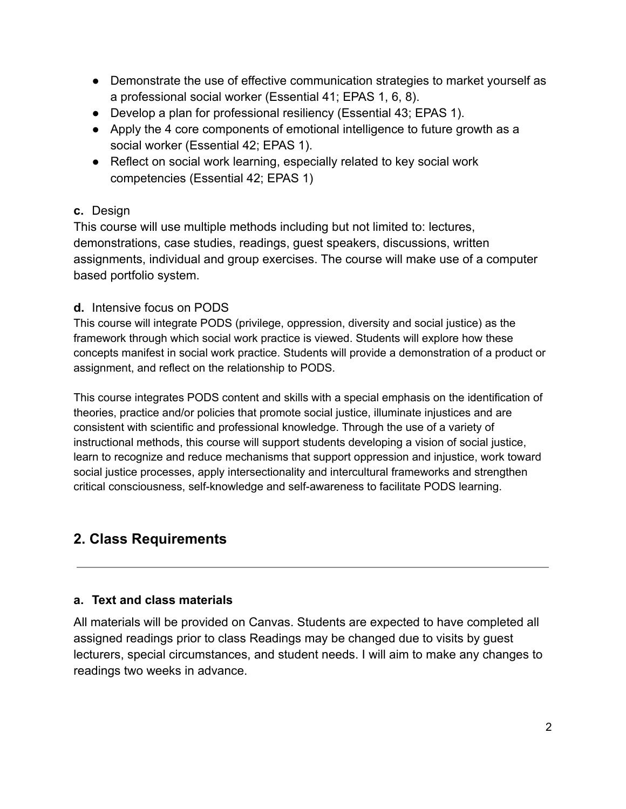- Demonstrate the use of effective communication strategies to market yourself as a professional social worker (Essential 41; EPAS 1, 6, 8).
- Develop a plan for professional resiliency (Essential 43; EPAS 1).
- Apply the 4 core components of emotional intelligence to future growth as a social worker (Essential 42; EPAS 1).
- Reflect on social work learning, especially related to key social work competencies (Essential 42; EPAS 1)

## **c.** Design

This course will use multiple methods including but not limited to: lectures, demonstrations, case studies, readings, guest speakers, discussions, written assignments, individual and group exercises. The course will make use of a computer based portfolio system.

## **d.** Intensive focus on PODS

This course will integrate PODS (privilege, oppression, diversity and social justice) as the framework through which social work practice is viewed. Students will explore how these concepts manifest in social work practice. Students will provide a demonstration of a product or assignment, and reflect on the relationship to PODS.

This course integrates PODS content and skills with a special emphasis on the identification of theories, practice and/or policies that promote social justice, illuminate injustices and are consistent with scientific and professional knowledge. Through the use of a variety of instructional methods, this course will support students developing a vision of social justice, learn to recognize and reduce mechanisms that support oppression and injustice, work toward social justice processes, apply intersectionality and intercultural frameworks and strengthen critical consciousness, self-knowledge and self-awareness to facilitate PODS learning.

# **2. Class Requirements**

## **a. Text and class materials**

All materials will be provided on Canvas. Students are expected to have completed all assigned readings prior to class Readings may be changed due to visits by guest lecturers, special circumstances, and student needs. I will aim to make any changes to readings two weeks in advance.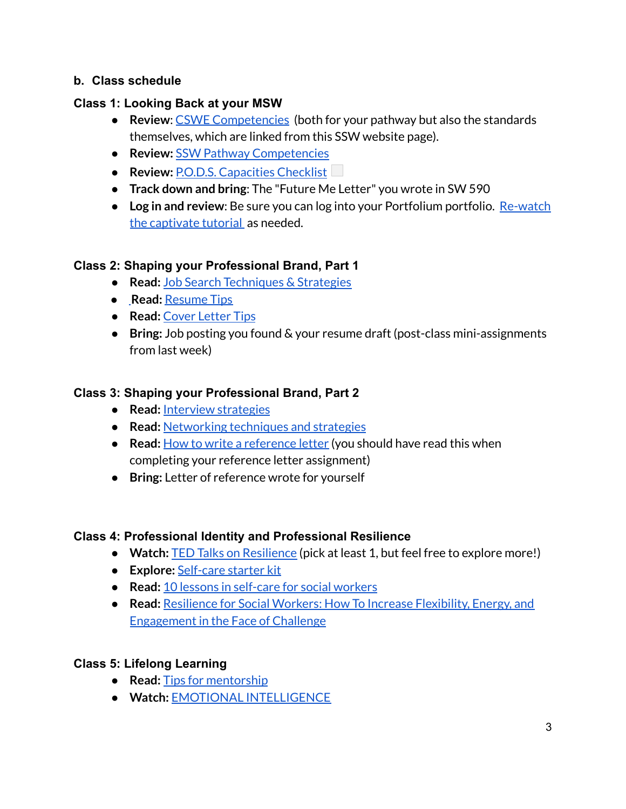## **b. Class schedule**

## **Class 1: Looking Back at your MSW**

- **Review: CSWE [Competencies](https://www.cswe.org/getattachment/Accreditation/Accreditation-Process/2015-EPAS/2015EPAS_Web_FINAL.pdf.aspx)** (both for your pathway but also the standards themselves, which are linked from this SSW website page).
- **Review:** SSW Pathway [Competencies](https://ssw.umich.edu/assets/ssw-pathway-competencies/)
- **Review: P.O.D.S. [Capacities](https://umich.instructure.com/courses/457074/files/20635879/download?wrap=1) Checklis[t](https://umich.instructure.com/courses/457074/files/20635879/download?download_frd=1)**
- **Track down and bring**: The "Future Me Letter" you wrote in SW 590
- **Log in and review**: Be sure you can log into your Portfolium portfolio. [Re-watch](https://rise.articulate.com/share/lG-e3Jf7KrzQuaryAQiJVCDJ8mCIR7wP#/) the [captivate](https://rise.articulate.com/share/lG-e3Jf7KrzQuaryAQiJVCDJ8mCIR7wP#/) tutorial as needed.

## **Class 2: Shaping your Professional Brand, Part 1**

- **● Read:** Job Search [Techniques](https://ssw.umich.edu/offices/career-services/job-search-techniques-strategies) & Strategies
- **● Read:** [Resume](https://ssw.umich.edu/offices/career-services/resume-tips) Tips
- **● Read:** Cover [Letter](https://ssw.umich.edu/offices/career-services/cover-letter-tips) Tips
- **● Bring:** Job posting you found & your resume draft (post-class mini-assignments from last week)

## **Class 3: Shaping your Professional Brand, Part 2**

- **Read:** Interview [strategies](https://ssw.umich.edu/offices/career-services/interview-strategies)
- **Read:** [Networking](https://ssw.umich.edu/offices/career-services/networking) techniques and strategies
- **Read:** How to write a [reference](https://www.thebalancecareers.com/how-to-write-a-reference-letter-2064324) letter (you should have read this when completing your reference letter assignment)
- **Bring:** Letter of reference wrote for yourself

## **Class 4: Professional Identity and Professional Resilience**

- **Watch:** TED Talks on [Resilience](https://www.ted.com/search?cat=talks&q=resilience) (pick at least 1, but feel free to explore more!)
- **Explore:** [Self-care](http://socialwork.buffalo.edu/resources/self-care-starter-kit.html) starter kit
- **Read:** 10 lessons in [self-care](http://www.socialworker.com/feature-articles/practice/mindfulness-10-lessons-in-self-care-for-social-workers/) for social workers
- **Read:** Resilience for Social Workers: How To Increase [Flexibility,](https://www.socialworker.com/feature-articles/practice/resilience-for-social-workers-how-to-increase-flexibility-energy-engagement-in-face-of-challenge/) Energy, and [Engagement](https://www.socialworker.com/feature-articles/practice/resilience-for-social-workers-how-to-increase-flexibility-energy-engagement-in-face-of-challenge/) in the Face of Challenge

## **Class 5: Lifelong Learning**

- **Read:** Tips for [mentorship](https://www.forbes.com/sites/laurencebradford/2018/01/31/8-tips-for-an-amazing-mentor-relationship/?sh=1f3db40221e2)
- **Watch:** EMOTIONAL [INTELLIGENCE](https://www.youtube.com/watch?v=Y7m9eNoB3NU)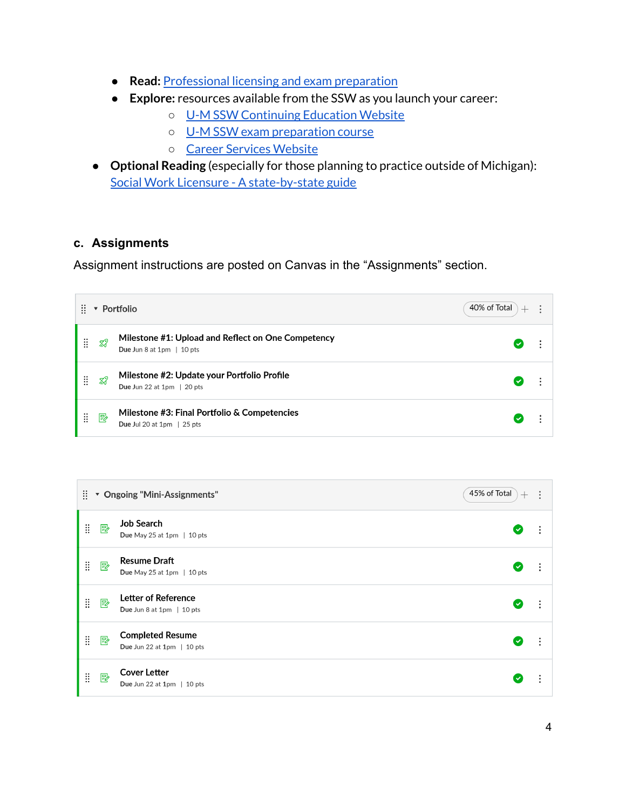- **Read:** [Professional](https://ssw.umich.edu/offices/career-services/licensing-and-exam-preparation) licensing and exam preparation
- **Explore:** resources available from the SSW as you launch your career:
	- U-M SSW [Continuing](https://ssw.umich.edu/offices/continuing-education) Education Website
	- U-M SSW exam [preparation](https://ssw.umich.edu/offices/continuing-education/exam-preparation) course
	- Career Services [Website](https://ssw.umich.edu/offices/career-services)
- **Optional Reading** (especially for those planning to practice outside of Michigan): Social Work Licensure - A [state-by-state](https://www.mswguide.org/licensure/) guide

## **c. Assignments**

Assignment instructions are posted on Canvas in the "Assignments" section.

| ₩<br>Portfolio<br>▼ |                | 40% of Total<br>$+$                                                                  |  |  |
|---------------------|----------------|--------------------------------------------------------------------------------------|--|--|
| X                   | $\mathbb{Z}^2$ | Milestone #1: Upload and Reflect on One Competency<br>Due Jun 8 at 1pm $\mid$ 10 pts |  |  |
| H                   | TP.            | Milestone #2: Update your Portfolio Profile<br>Due Jun 22 at $1pm \,   20$ pts       |  |  |
| Ä                   | 郾              | Milestone #3: Final Portfolio & Competencies<br>Due Jul 20 at 1pm $\vert$ 25 pts     |  |  |

| 45% of Total<br>Ħ.<br>* Ongoing "Mini-Assignments" |   | $\hspace{0.1mm} +$                                      | $\ddot{\cdot}$ |   |
|----------------------------------------------------|---|---------------------------------------------------------|----------------|---|
| Ħ                                                  | 國 | <b>Job Search</b><br>Due May 25 at 1pm $\mid$ 10 pts    | $\checkmark$   |   |
| $\ddot{}}$                                         | 暨 | <b>Resume Draft</b><br>Due May 25 at 1pm $\mid$ 10 pts  | $\checkmark$   |   |
| II                                                 | 國 | <b>Letter of Reference</b><br>Due Jun 8 at 1pm   10 pts | $\checkmark$   | ÷ |
| Ħ                                                  | 國 | <b>Completed Resume</b><br>Due Jun 22 at 1pm   10 pts   |                |   |
| $\ddot{\ddot{\mathrm{}}\mathrm{}}$                 | 國 | <b>Cover Letter</b><br>Due Jun 22 at $1pm \,   10$ pts  |                |   |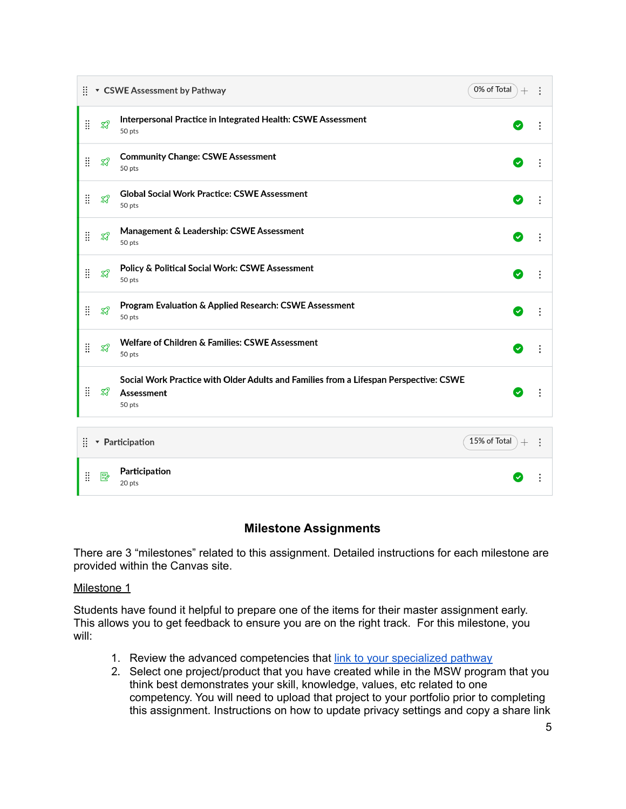|                                                 | 0% of Total<br>▼ CSWE Assessment by Pathway |                                                                                                               |                      |  |
|-------------------------------------------------|---------------------------------------------|---------------------------------------------------------------------------------------------------------------|----------------------|--|
| $\ddot{}}$                                      | $\mathcal{Z}$                               | Interpersonal Practice in Integrated Health: CSWE Assessment<br>50 pts                                        | $\checkmark$         |  |
| Ħ                                               | $\mathcal{R}$                               | <b>Community Change: CSWE Assessment</b><br>50 pts                                                            | $\blacktriangledown$ |  |
| <b>II</b>                                       | $\mathcal{Z}$                               | <b>Global Social Work Practice: CSWE Assessment</b><br>50 pts                                                 | $ \mathbf{v} $       |  |
| Ħ                                               | $\mathbb{Z}^2$                              | Management & Leadership: CSWE Assessment<br>50 pts                                                            | $\sim$               |  |
| <b>II</b>                                       | $\mathcal{R}$                               | Policy & Political Social Work: CSWE Assessment<br>50 pts                                                     | V                    |  |
| Ħ                                               | $\mathbb{X}^2$                              | Program Evaluation & Applied Research: CSWE Assessment<br>50 pts                                              | Ø                    |  |
| <b>II</b>                                       | $\mathbb{Z}^2$                              | <b>Welfare of Children &amp; Families: CSWE Assessment</b><br>50 pts                                          | $\mathbf{v}$         |  |
| Ħ                                               | TP.                                         | Social Work Practice with Older Adults and Families from a Lifespan Perspective: CSWE<br>Assessment<br>50 pts | ✓                    |  |
| 15% of Total<br>Ħ.<br>• Participation<br>$^{+}$ |                                             |                                                                                                               |                      |  |
| <b>II</b>                                       | 垦                                           | Participation<br>20 pts                                                                                       |                      |  |

### **Milestone Assignments**

There are 3 "milestones" related to this assignment. Detailed instructions for each milestone are provided within the Canvas site.

#### Milestone 1

Students have found it helpful to prepare one of the items for their master assignment early. This allows you to get feedback to ensure you are on the right track. For this milestone, you will:

- 1. Review the advanced competencies that link to your [specialized](https://ssw.umich.edu/assets/ssw-pathway-competencies/) pathway
- 2. Select one project/product that you have created while in the MSW program that you think best demonstrates your skill, knowledge, values, etc related to one competency. You will need to upload that project to your portfolio prior to completing this assignment. Instructions on how to update privacy settings and copy a share link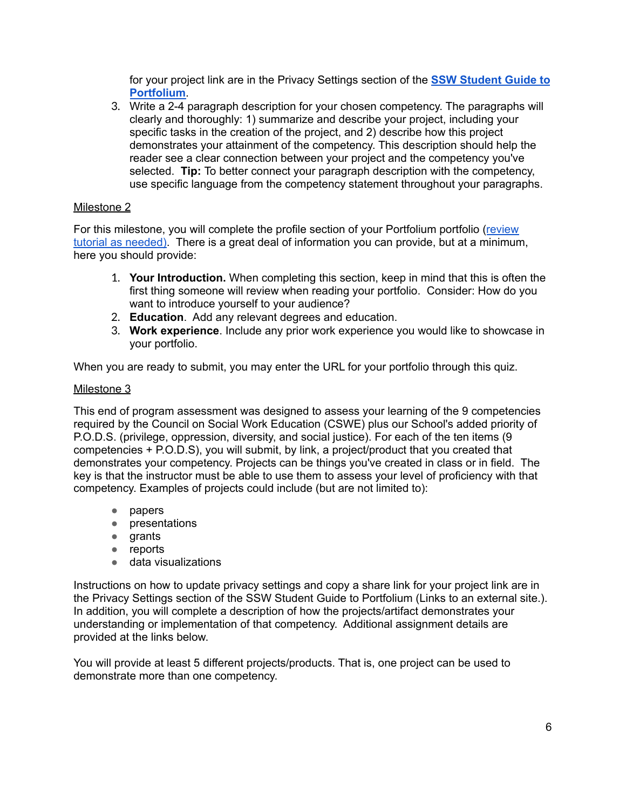for your project link are in the Privacy Settings section of the **SSW [Student](https://rise.articulate.com/share/lG-e3Jf7KrzQuaryAQiJVCDJ8mCIR7wP#/lessons/HXoUpSmDkuKe1P4BHNFR6t5___OHNC2s) Guide to [Portfolium](https://rise.articulate.com/share/lG-e3Jf7KrzQuaryAQiJVCDJ8mCIR7wP#/lessons/HXoUpSmDkuKe1P4BHNFR6t5___OHNC2s)**.

3. Write a 2-4 paragraph description for your chosen competency. The paragraphs will clearly and thoroughly: 1) summarize and describe your project, including your specific tasks in the creation of the project, and 2) describe how this project demonstrates your attainment of the competency. This description should help the reader see a clear connection between your project and the competency you've selected. **Tip:** To better connect your paragraph description with the competency, use specific language from the competency statement throughout your paragraphs.

#### Milestone 2

For this milestone, you will complete the profile section of your Portfolium portfolio ([review](https://rise.articulate.com/share/lG-e3Jf7KrzQuaryAQiJVCDJ8mCIR7wP#/) tutorial as [needed\)](https://rise.articulate.com/share/lG-e3Jf7KrzQuaryAQiJVCDJ8mCIR7wP#/). There is a great deal of information you can provide, but at a minimum, here you should provide:

- 1. **Your Introduction.** When completing this section, keep in mind that this is often the first thing someone will review when reading your portfolio. Consider: How do you want to introduce yourself to your audience?
- 2. **Education**. Add any relevant degrees and education.
- 3. **Work experience**. Include any prior work experience you would like to showcase in your portfolio.

When you are ready to submit, you may enter the URL for your portfolio through this quiz.

#### Milestone 3

This end of program assessment was designed to assess your learning of the 9 competencies required by the Council on Social Work Education (CSWE) plus our School's added priority of P.O.D.S. (privilege, oppression, diversity, and social justice). For each of the ten items (9 competencies + P.O.D.S), you will submit, by link, a project/product that you created that demonstrates your competency. Projects can be things you've created in class or in field. The key is that the instructor must be able to use them to assess your level of proficiency with that competency. Examples of projects could include (but are not limited to):

- papers
- presentations
- grants
- reports
- data visualizations

Instructions on how to update privacy settings and copy a share link for your project link are in the Privacy Settings section of the SSW Student Guide to Portfolium (Links to an external site.). In addition, you will complete a description of how the projects/artifact demonstrates your understanding or implementation of that competency. Additional assignment details are provided at the links below.

You will provide at least 5 different projects/products. That is, one project can be used to demonstrate more than one competency.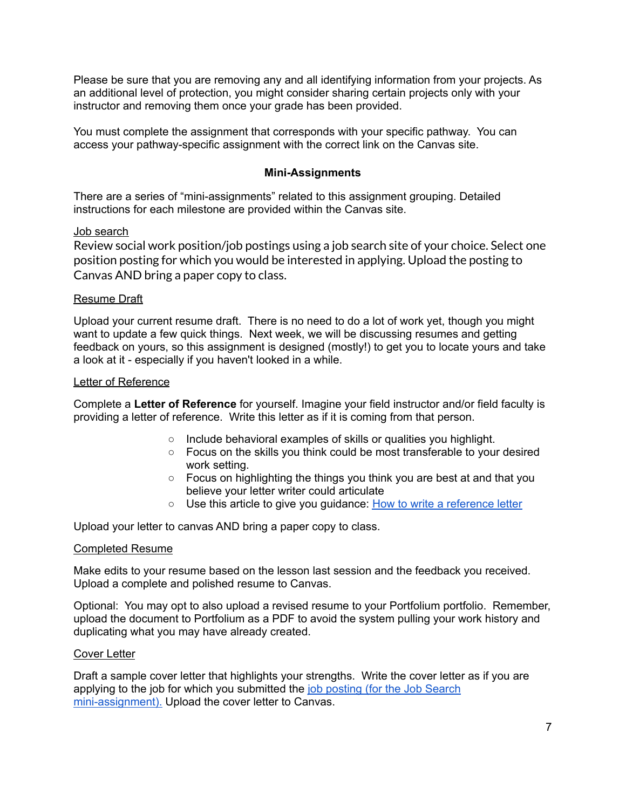Please be sure that you are removing any and all identifying information from your projects. As an additional level of protection, you might consider sharing certain projects only with your instructor and removing them once your grade has been provided.

You must complete the assignment that corresponds with your specific pathway. You can access your pathway-specific assignment with the correct link on the Canvas site.

#### **Mini-Assignments**

There are a series of "mini-assignments" related to this assignment grouping. Detailed instructions for each milestone are provided within the Canvas site.

#### Job search

Review social work position/job postings using a job search site of your choice. Select one position posting for which you would be interested in applying. Upload the posting to Canvas AND bring a paper copy to class.

#### Resume Draft

Upload your current resume draft. There is no need to do a lot of work yet, though you might want to update a few quick things. Next week, we will be discussing resumes and getting feedback on yours, so this assignment is designed (mostly!) to get you to locate yours and take a look at it - especially if you haven't looked in a while.

#### Letter of Reference

Complete a **Letter of Reference** for yourself. Imagine your field instructor and/or field faculty is providing a letter of reference. Write this letter as if it is coming from that person.

- Include behavioral examples of skills or qualities you highlight.
- Focus on the skills you think could be most transferable to your desired work setting.
- Focus on highlighting the things you think you are best at and that you believe your letter writer could articulate
- Use this article to give you guidance: How to write a [reference](https://www.thebalancecareers.com/how-to-write-a-reference-letter-2064324) letter

Upload your letter to canvas AND bring a paper copy to class.

#### Completed Resume

Make edits to your resume based on the lesson last session and the feedback you received. Upload a complete and polished resume to Canvas.

Optional: You may opt to also upload a revised resume to your Portfolium portfolio. Remember, upload the document to Portfolium as a PDF to avoid the system pulling your work history and duplicating what you may have already created.

#### Cover Letter

Draft a sample cover letter that highlights your strengths. Write the cover letter as if you are applying to the job for which you submitted the job [posting](https://umich.instructure.com/courses/482850/assignments/1371185) (for the Job Search [mini-assignment\).](https://umich.instructure.com/courses/482850/assignments/1371185) Upload the cover letter to Canvas.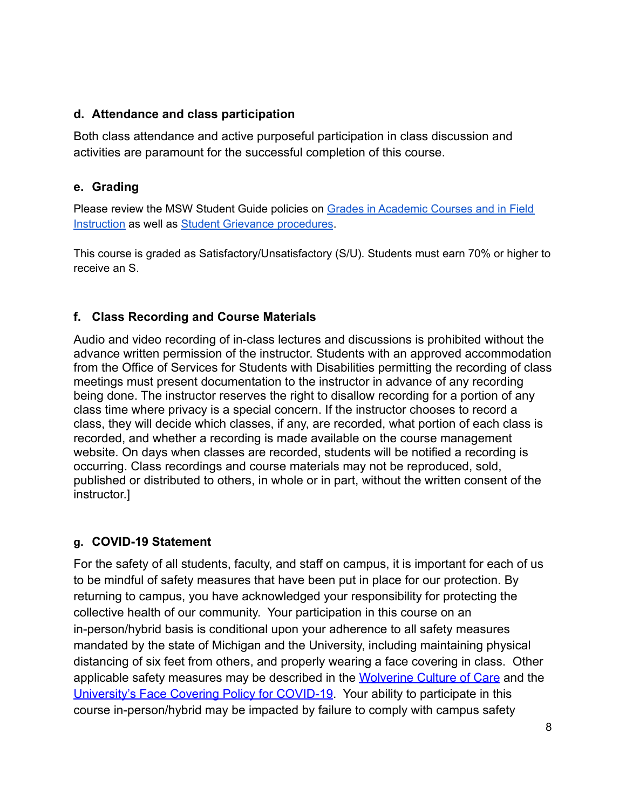## **d. Attendance and class participation**

Both class attendance and active purposeful participation in class discussion and activities are paramount for the successful completion of this course.

## **e. Grading**

Please review the MSW Student Guide policies on Grades in [Academic](http://ssw.umich.edu/msw-student-guide/chapter/1.08/grades-in-academic-courses-and-in-field-instruction) Courses and in Field [Instruction](http://ssw.umich.edu/msw-student-guide/chapter/1.08/grades-in-academic-courses-and-in-field-instruction) as well as Student Grievance [procedures](http://ssw.umich.edu/msw-student-guide/chapter/1.18/student-grievances).

This course is graded as Satisfactory/Unsatisfactory (S/U). Students must earn 70% or higher to receive an S.

## **f. Class Recording and Course Materials**

Audio and video recording of in-class lectures and discussions is prohibited without the advance written permission of the instructor. Students with an approved accommodation from the Office of Services for Students with Disabilities permitting the recording of class meetings must present documentation to the instructor in advance of any recording being done. The instructor reserves the right to disallow recording for a portion of any class time where privacy is a special concern. If the instructor chooses to record a class, they will decide which classes, if any, are recorded, what portion of each class is recorded, and whether a recording is made available on the course management website. On days when classes are recorded, students will be notified a recording is occurring. Class recordings and course materials may not be reproduced, sold, published or distributed to others, in whole or in part, without the written consent of the instructor.]

## **g. COVID-19 Statement**

For the safety of all students, faculty, and staff on campus, it is important for each of us to be mindful of safety measures that have been put in place for our protection. By returning to campus, you have acknowledged your responsibility for protecting the collective health of our community. Your participation in this course on an in-person/hybrid basis is conditional upon your adherence to all safety measures mandated by the state of Michigan and the University, including maintaining physical distancing of six feet from others, and properly wearing a face covering in class. Other applicable safety measures may be described in the [Wolverine Culture of Care](https://campusblueprint.umich.edu/uploads/Wolverine_Culture_of_Care%20sign_8.5x11_UPDATED_071520.pdf) and the [University's Face Covering Policy for COVID-19.](http://ehs.umich.edu/wp-content/uploads/2020/07/U-M-Face-Covering-Policy-for-COVID-19.pdf) Your ability to participate in this course in-person/hybrid may be impacted by failure to comply with campus safety